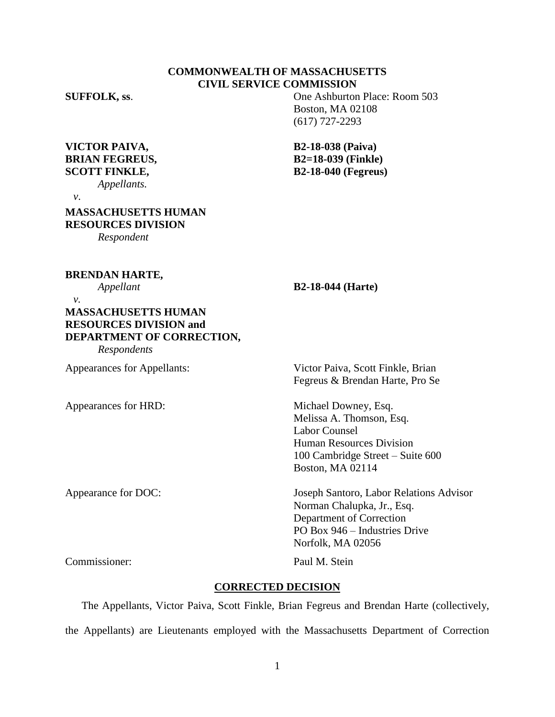# **COMMONWEALTH OF MASSACHUSETTS CIVIL SERVICE COMMISSION**

**VICTOR PAIVA, B2-18-038 (Paiva) BRIAN FEGREUS, B2=18-039 (Finkle)**

*Appellants.* 

**SUFFOLK, ss.** One Ashburton Place: Room 503 Boston, MA 02108 (617) 727-2293

**SCOTT FINKLE, B2-18-040 (Fegreus)**

 *v*.

**MASSACHUSETTS HUMAN RESOURCES DIVISION**

*Respondent*

**BRENDAN HARTE,**

## *Appellant* **B2-18-044 (Harte)**

 *v.* **MASSACHUSETTS HUMAN RESOURCES DIVISION and DEPARTMENT OF CORRECTION,** *Respondents*

Appearances for HRD: Michael Downey, Esq.

Appearances for Appellants: Victor Paiva, Scott Finkle, Brian Fegreus & Brendan Harte, Pro Se

> Melissa A. Thomson, Esq. Labor Counsel Human Resources Division 100 Cambridge Street – Suite 600 Boston, MA 02114

Appearance for DOC: Joseph Santoro, Labor Relations Advisor Norman Chalupka, Jr., Esq. Department of Correction PO Box 946 – Industries Drive Norfolk, MA 02056

Commissioner: Paul M. Stein

## **CORRECTED DECISION**

The Appellants, Victor Paiva, Scott Finkle, Brian Fegreus and Brendan Harte (collectively, the Appellants) are Lieutenants employed with the Massachusetts Department of Correction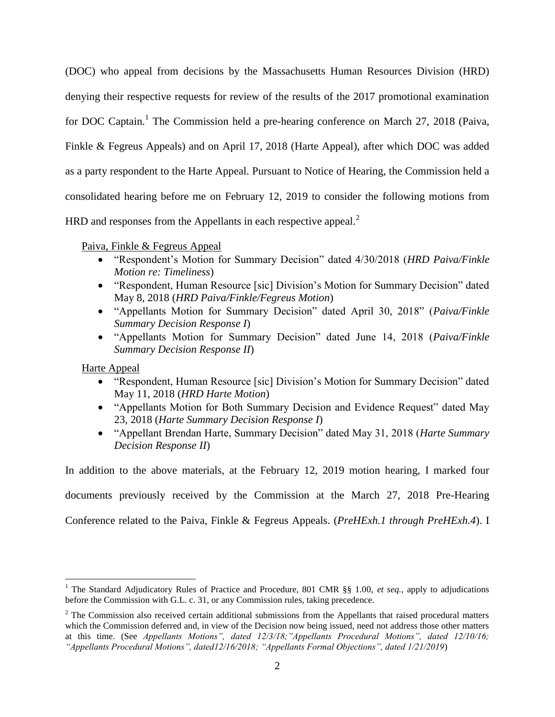(DOC) who appeal from decisions by the Massachusetts Human Resources Division (HRD) denying their respective requests for review of the results of the 2017 promotional examination for DOC Captain.<sup>1</sup> The Commission held a pre-hearing conference on March 27, 2018 (Paiva, Finkle & Fegreus Appeals) and on April 17, 2018 (Harte Appeal), after which DOC was added as a party respondent to the Harte Appeal. Pursuant to Notice of Hearing, the Commission held a consolidated hearing before me on February 12, 2019 to consider the following motions from HRD and responses from the Appellants in each respective appeal.<sup>2</sup>

Paiva, Finkle & Fegreus Appeal

- "Respondent's Motion for Summary Decision" dated 4/30/2018 (*HRD Paiva/Finkle Motion re: Timeliness*)
- "Respondent, Human Resource [sic] Division's Motion for Summary Decision" dated May 8, 2018 (*HRD Paiva/Finkle/Fegreus Motion*)
- "Appellants Motion for Summary Decision" dated April 30, 2018" (*Paiva/Finkle Summary Decision Response I*)
- "Appellants Motion for Summary Decision" dated June 14, 2018 (*Paiva/Finkle Summary Decision Response II*)

Harte Appeal

 $\overline{a}$ 

- "Respondent, Human Resource [sic] Division's Motion for Summary Decision" dated May 11, 2018 (*HRD Harte Motion*)
- "Appellants Motion for Both Summary Decision and Evidence Request" dated May 23, 2018 (*Harte Summary Decision Response I*)
- "Appellant Brendan Harte, Summary Decision" dated May 31, 2018 (*Harte Summary Decision Response II*)

In addition to the above materials, at the February 12, 2019 motion hearing, I marked four

documents previously received by the Commission at the March 27, 2018 Pre-Hearing

Conference related to the Paiva, Finkle & Fegreus Appeals. (*PreHExh.1 through PreHExh.4*). I

<sup>&</sup>lt;sup>1</sup> The Standard Adjudicatory Rules of Practice and Procedure, 801 CMR §§ 1.00, *et seq.*, apply to adjudications before the Commission with G.L. c. 31, or any Commission rules, taking precedence.

 $2$  The Commission also received certain additional submissions from the Appellants that raised procedural matters which the Commission deferred and, in view of the Decision now being issued, need not address those other matters at this time. (See *Appellants Motions", dated 12/3/18;"Appellants Procedural Motions", dated 12/10/16; "Appellants Procedural Motions", dated12/16/2018; "Appellants Formal Objections", dated 1/21/2019*)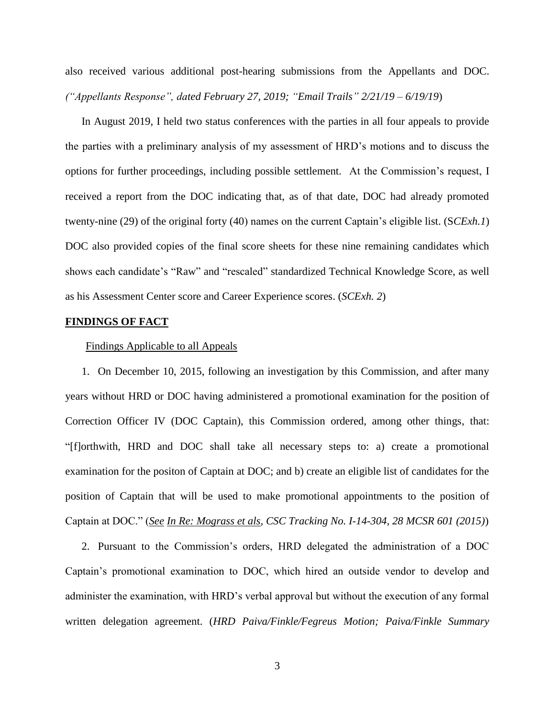also received various additional post-hearing submissions from the Appellants and DOC. *("Appellants Response", dated February 27, 2019; "Email Trails" 2/21/19 – 6/19/19*)

In August 2019, I held two status conferences with the parties in all four appeals to provide the parties with a preliminary analysis of my assessment of HRD's motions and to discuss the options for further proceedings, including possible settlement. At the Commission's request, I received a report from the DOC indicating that, as of that date, DOC had already promoted twenty-nine (29) of the original forty (40) names on the current Captain's eligible list. (S*CExh.1*) DOC also provided copies of the final score sheets for these nine remaining candidates which shows each candidate's "Raw" and "rescaled" standardized Technical Knowledge Score, as well as his Assessment Center score and Career Experience scores. (*SCExh. 2*)

## **FINDINGS OF FACT**

#### Findings Applicable to all Appeals

1. On December 10, 2015, following an investigation by this Commission, and after many years without HRD or DOC having administered a promotional examination for the position of Correction Officer IV (DOC Captain), this Commission ordered, among other things, that: "[f]orthwith, HRD and DOC shall take all necessary steps to: a) create a promotional examination for the positon of Captain at DOC; and b) create an eligible list of candidates for the position of Captain that will be used to make promotional appointments to the position of Captain at DOC." (*See In Re: Mograss et als, CSC Tracking No. I-14-304, 28 MCSR 601 (2015)*)

2. Pursuant to the Commission's orders, HRD delegated the administration of a DOC Captain's promotional examination to DOC, which hired an outside vendor to develop and administer the examination, with HRD's verbal approval but without the execution of any formal written delegation agreement. (*HRD Paiva/Finkle/Fegreus Motion; Paiva/Finkle Summary*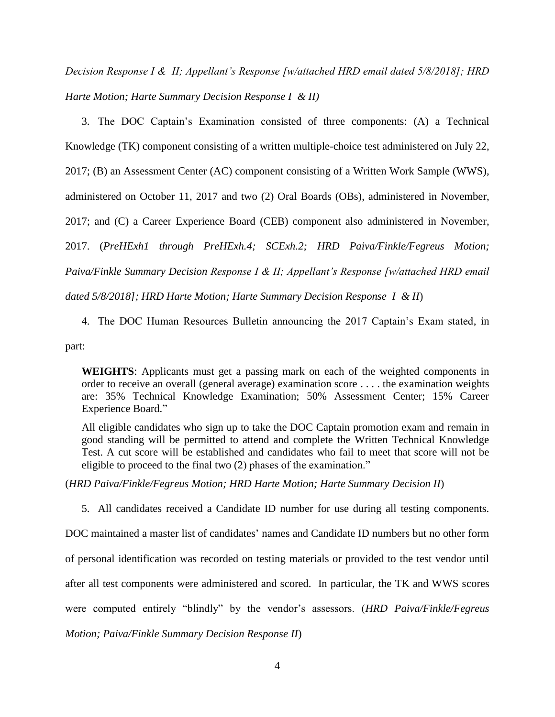*Decision Response I & II; Appellant's Response [w/attached HRD email dated 5/8/2018]; HRD Harte Motion; Harte Summary Decision Response I & II)*

3. The DOC Captain's Examination consisted of three components: (A) a Technical Knowledge (TK) component consisting of a written multiple-choice test administered on July 22, 2017; (B) an Assessment Center (AC) component consisting of a Written Work Sample (WWS), administered on October 11, 2017 and two (2) Oral Boards (OBs), administered in November, 2017; and (C) a Career Experience Board (CEB) component also administered in November, 2017. (*PreHExh1 through PreHExh.4; SCExh.2; HRD Paiva/Finkle/Fegreus Motion; Paiva/Finkle Summary Decision Response I & II; Appellant's Response [w/attached HRD email dated 5/8/2018]; HRD Harte Motion; Harte Summary Decision Response I & II*)

4. The DOC Human Resources Bulletin announcing the 2017 Captain's Exam stated, in

part:

**WEIGHTS**: Applicants must get a passing mark on each of the weighted components in order to receive an overall (general average) examination score . . . . the examination weights are: 35% Technical Knowledge Examination; 50% Assessment Center; 15% Career Experience Board."

All eligible candidates who sign up to take the DOC Captain promotion exam and remain in good standing will be permitted to attend and complete the Written Technical Knowledge Test. A cut score will be established and candidates who fail to meet that score will not be eligible to proceed to the final two (2) phases of the examination."

(*HRD Paiva/Finkle/Fegreus Motion; HRD Harte Motion; Harte Summary Decision II*)

5. All candidates received a Candidate ID number for use during all testing components.

DOC maintained a master list of candidates' names and Candidate ID numbers but no other form

of personal identification was recorded on testing materials or provided to the test vendor until

after all test components were administered and scored. In particular, the TK and WWS scores

were computed entirely "blindly" by the vendor's assessors. (*HRD Paiva/Finkle/Fegreus*

*Motion; Paiva/Finkle Summary Decision Response II*)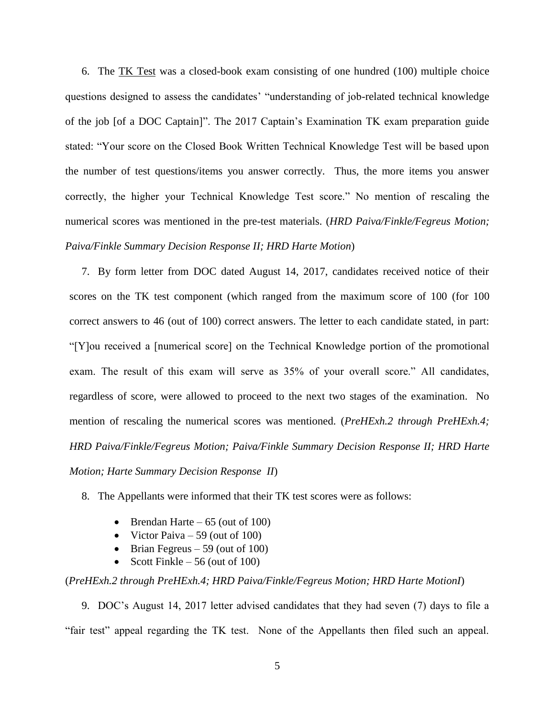6. The TK Test was a closed-book exam consisting of one hundred (100) multiple choice questions designed to assess the candidates' "understanding of job-related technical knowledge of the job [of a DOC Captain]". The 2017 Captain's Examination TK exam preparation guide stated: "Your score on the Closed Book Written Technical Knowledge Test will be based upon the number of test questions/items you answer correctly. Thus, the more items you answer correctly, the higher your Technical Knowledge Test score." No mention of rescaling the numerical scores was mentioned in the pre-test materials. (*HRD Paiva/Finkle/Fegreus Motion; Paiva/Finkle Summary Decision Response II; HRD Harte Motion*)

7. By form letter from DOC dated August 14, 2017, candidates received notice of their scores on the TK test component (which ranged from the maximum score of 100 (for 100 correct answers to 46 (out of 100) correct answers. The letter to each candidate stated, in part: "[Y]ou received a [numerical score] on the Technical Knowledge portion of the promotional exam. The result of this exam will serve as 35% of your overall score." All candidates, regardless of score, were allowed to proceed to the next two stages of the examination. No mention of rescaling the numerical scores was mentioned. (*PreHExh.2 through PreHExh.4; HRD Paiva/Finkle/Fegreus Motion; Paiva/Finkle Summary Decision Response II; HRD Harte Motion; Harte Summary Decision Response II*)

8. The Appellants were informed that their TK test scores were as follows:

- Brendan Harte 65 (out of 100)
- Victor Paiva 59 (out of 100)
- $\bullet$  Brian Fegreus 59 (out of 100)
- Scott Finkle 56 (out of 100)

# (*PreHExh.2 through PreHExh.4; HRD Paiva/Finkle/Fegreus Motion; HRD Harte MotionI*)

9. DOC's August 14, 2017 letter advised candidates that they had seven (7) days to file a "fair test" appeal regarding the TK test. None of the Appellants then filed such an appeal.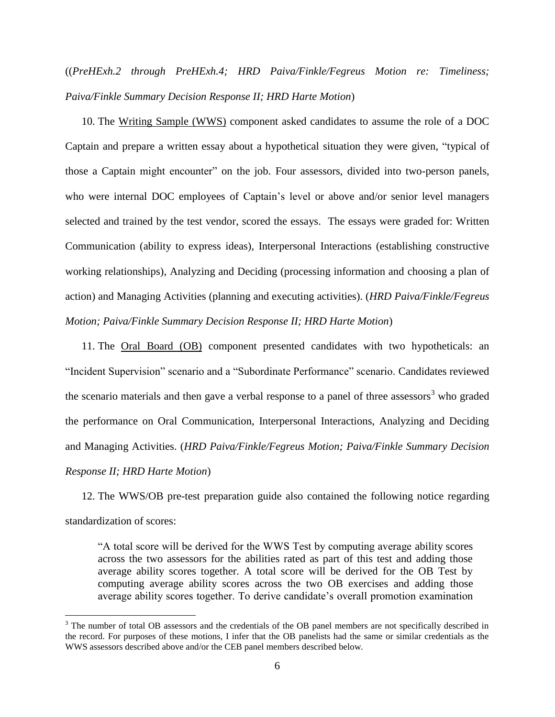((*PreHExh.2 through PreHExh.4; HRD Paiva/Finkle/Fegreus Motion re: Timeliness; Paiva/Finkle Summary Decision Response II; HRD Harte Motion*)

10. The Writing Sample (WWS) component asked candidates to assume the role of a DOC Captain and prepare a written essay about a hypothetical situation they were given, "typical of those a Captain might encounter" on the job. Four assessors, divided into two-person panels, who were internal DOC employees of Captain's level or above and/or senior level managers selected and trained by the test vendor, scored the essays. The essays were graded for: Written Communication (ability to express ideas), Interpersonal Interactions (establishing constructive working relationships), Analyzing and Deciding (processing information and choosing a plan of action) and Managing Activities (planning and executing activities). (*HRD Paiva/Finkle/Fegreus Motion; Paiva/Finkle Summary Decision Response II; HRD Harte Motion*)

11. The Oral Board (OB) component presented candidates with two hypotheticals: an "Incident Supervision" scenario and a "Subordinate Performance" scenario. Candidates reviewed the scenario materials and then gave a verbal response to a panel of three assessors<sup>3</sup> who graded the performance on Oral Communication, Interpersonal Interactions, Analyzing and Deciding and Managing Activities. (*HRD Paiva/Finkle/Fegreus Motion; Paiva/Finkle Summary Decision Response II; HRD Harte Motion*)

12. The WWS/OB pre-test preparation guide also contained the following notice regarding standardization of scores:

"A total score will be derived for the WWS Test by computing average ability scores across the two assessors for the abilities rated as part of this test and adding those average ability scores together. A total score will be derived for the OB Test by computing average ability scores across the two OB exercises and adding those average ability scores together. To derive candidate's overall promotion examination

 $\overline{a}$ 

<sup>&</sup>lt;sup>3</sup> The number of total OB assessors and the credentials of the OB panel members are not specifically described in the record. For purposes of these motions, I infer that the OB panelists had the same or similar credentials as the WWS assessors described above and/or the CEB panel members described below.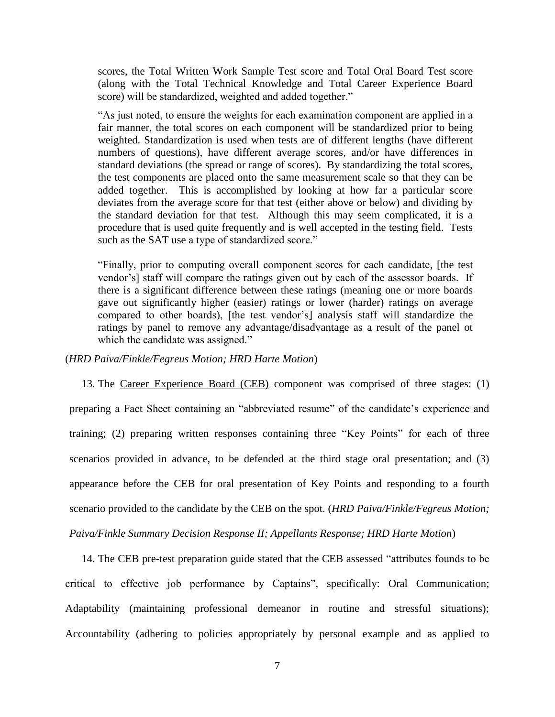scores, the Total Written Work Sample Test score and Total Oral Board Test score (along with the Total Technical Knowledge and Total Career Experience Board score) will be standardized, weighted and added together."

"As just noted, to ensure the weights for each examination component are applied in a fair manner, the total scores on each component will be standardized prior to being weighted. Standardization is used when tests are of different lengths (have different numbers of questions), have different average scores, and/or have differences in standard deviations (the spread or range of scores). By standardizing the total scores, the test components are placed onto the same measurement scale so that they can be added together. This is accomplished by looking at how far a particular score deviates from the average score for that test (either above or below) and dividing by the standard deviation for that test. Although this may seem complicated, it is a procedure that is used quite frequently and is well accepted in the testing field. Tests such as the SAT use a type of standardized score."

"Finally, prior to computing overall component scores for each candidate, [the test vendor's] staff will compare the ratings given out by each of the assessor boards. If there is a significant difference between these ratings (meaning one or more boards gave out significantly higher (easier) ratings or lower (harder) ratings on average compared to other boards), [the test vendor's] analysis staff will standardize the ratings by panel to remove any advantage/disadvantage as a result of the panel ot which the candidate was assigned."

#### (*HRD Paiva/Finkle/Fegreus Motion; HRD Harte Motion*)

13. The Career Experience Board (CEB) component was comprised of three stages: (1) preparing a Fact Sheet containing an "abbreviated resume" of the candidate's experience and training; (2) preparing written responses containing three "Key Points" for each of three scenarios provided in advance, to be defended at the third stage oral presentation; and (3) appearance before the CEB for oral presentation of Key Points and responding to a fourth scenario provided to the candidate by the CEB on the spot. (*HRD Paiva/Finkle/Fegreus Motion; Paiva/Finkle Summary Decision Response II; Appellants Response; HRD Harte Motion*)

14. The CEB pre-test preparation guide stated that the CEB assessed "attributes founds to be critical to effective job performance by Captains", specifically: Oral Communication; Adaptability (maintaining professional demeanor in routine and stressful situations); Accountability (adhering to policies appropriately by personal example and as applied to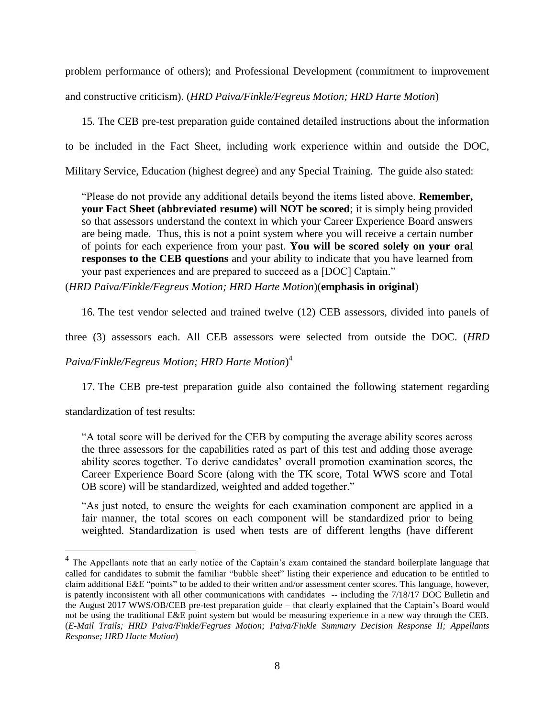problem performance of others); and Professional Development (commitment to improvement and constructive criticism). (*HRD Paiva/Finkle/Fegreus Motion; HRD Harte Motion*)

15. The CEB pre-test preparation guide contained detailed instructions about the information to be included in the Fact Sheet, including work experience within and outside the DOC, Military Service, Education (highest degree) and any Special Training. The guide also stated:

"Please do not provide any additional details beyond the items listed above. **Remember, your Fact Sheet (abbreviated resume) will NOT be scored**; it is simply being provided so that assessors understand the context in which your Career Experience Board answers are being made. Thus, this is not a point system where you will receive a certain number of points for each experience from your past. **You will be scored solely on your oral responses to the CEB questions** and your ability to indicate that you have learned from your past experiences and are prepared to succeed as a [DOC] Captain."

(*HRD Paiva/Finkle/Fegreus Motion; HRD Harte Motion*)(**emphasis in original**)

16. The test vendor selected and trained twelve (12) CEB assessors, divided into panels of

three (3) assessors each. All CEB assessors were selected from outside the DOC. (*HRD* 

*Paiva/Finkle/Fegreus Motion; HRD Harte Motion*) 4

17. The CEB pre-test preparation guide also contained the following statement regarding

standardization of test results:

 $\overline{a}$ 

"A total score will be derived for the CEB by computing the average ability scores across the three assessors for the capabilities rated as part of this test and adding those average ability scores together. To derive candidates' overall promotion examination scores, the Career Experience Board Score (along with the TK score, Total WWS score and Total OB score) will be standardized, weighted and added together."

"As just noted, to ensure the weights for each examination component are applied in a fair manner, the total scores on each component will be standardized prior to being weighted. Standardization is used when tests are of different lengths (have different

<sup>&</sup>lt;sup>4</sup> The Appellants note that an early notice of the Captain's exam contained the standard boilerplate language that called for candidates to submit the familiar "bubble sheet" listing their experience and education to be entitled to claim additional E&E "points" to be added to their written and/or assessment center scores. This language, however, is patently inconsistent with all other communications with candidates -- including the 7/18/17 DOC Bulletin and the August 2017 WWS/OB/CEB pre-test preparation guide – that clearly explained that the Captain's Board would not be using the traditional E&E point system but would be measuring experience in a new way through the CEB. (*E-Mail Trails; HRD Paiva/Finkle/Fegrues Motion; Paiva/Finkle Summary Decision Response II; Appellants Response; HRD Harte Motion*)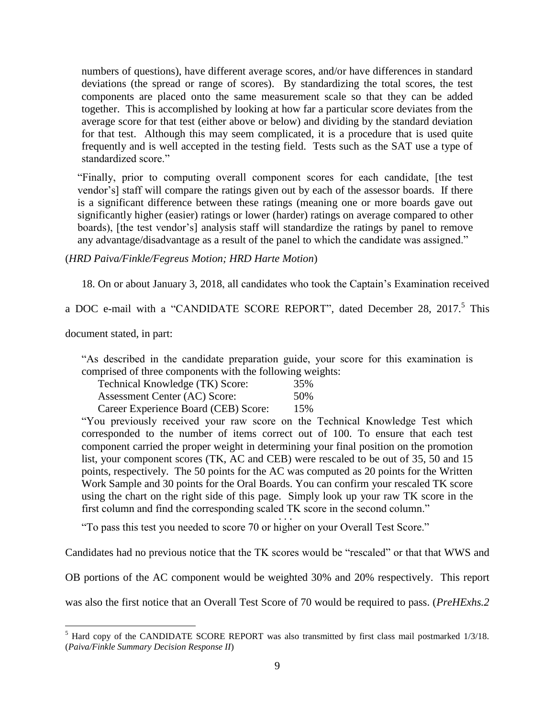numbers of questions), have different average scores, and/or have differences in standard deviations (the spread or range of scores). By standardizing the total scores, the test components are placed onto the same measurement scale so that they can be added together. This is accomplished by looking at how far a particular score deviates from the average score for that test (either above or below) and dividing by the standard deviation for that test. Although this may seem complicated, it is a procedure that is used quite frequently and is well accepted in the testing field. Tests such as the SAT use a type of standardized score."

"Finally, prior to computing overall component scores for each candidate, [the test vendor's] staff will compare the ratings given out by each of the assessor boards. If there is a significant difference between these ratings (meaning one or more boards gave out significantly higher (easier) ratings or lower (harder) ratings on average compared to other boards), [the test vendor's] analysis staff will standardize the ratings by panel to remove any advantage/disadvantage as a result of the panel to which the candidate was assigned."

## (*HRD Paiva/Finkle/Fegreus Motion; HRD Harte Motion*)

18. On or about January 3, 2018, all candidates who took the Captain's Examination received

a DOC e-mail with a "CANDIDATE SCORE REPORT", dated December 28, 2017.<sup>5</sup> This

document stated, in part:

 $\overline{a}$ 

"As described in the candidate preparation guide, your score for this examination is comprised of three components with the following weights:

| Technical Knowledge (TK) Score:      | 35% |
|--------------------------------------|-----|
| Assessment Center (AC) Score:        | 50% |
| Career Experience Board (CEB) Score: | 15% |

"You previously received your raw score on the Technical Knowledge Test which corresponded to the number of items correct out of 100. To ensure that each test component carried the proper weight in determining your final position on the promotion list, your component scores (TK, AC and CEB) were rescaled to be out of 35, 50 and 15 points, respectively. The 50 points for the AC was computed as 20 points for the Written Work Sample and 30 points for the Oral Boards. You can confirm your rescaled TK score using the chart on the right side of this page. Simply look up your raw TK score in the first column and find the corresponding scaled TK score in the second column."  $\cdot \cdot \cdot$ 

"To pass this test you needed to score 70 or higher on your Overall Test Score."

Candidates had no previous notice that the TK scores would be "rescaled" or that that WWS and

OB portions of the AC component would be weighted 30% and 20% respectively. This report

was also the first notice that an Overall Test Score of 70 would be required to pass. (*PreHExhs.2* 

 $<sup>5</sup>$  Hard copy of the CANDIDATE SCORE REPORT was also transmitted by first class mail postmarked  $1/3/18$ .</sup> (*Paiva/Finkle Summary Decision Response II*)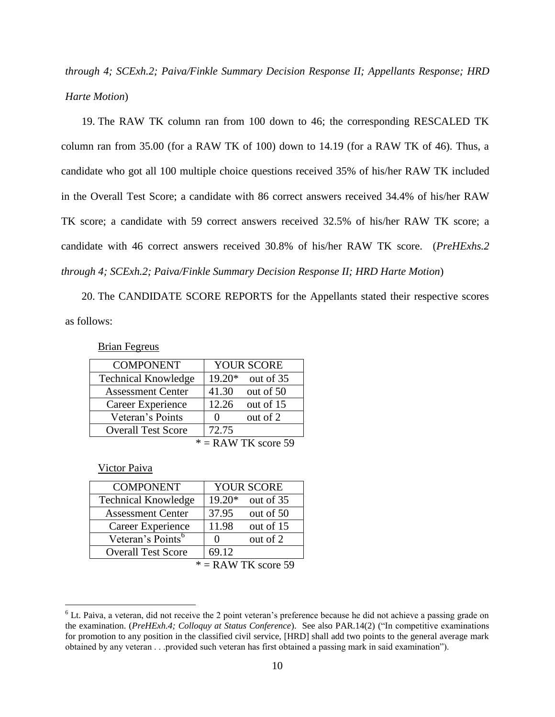*through 4; SCExh.2; Paiva/Finkle Summary Decision Response II; Appellants Response; HRD Harte Motion*)

19. The RAW TK column ran from 100 down to 46; the corresponding RESCALED TK column ran from 35.00 (for a RAW TK of 100) down to 14.19 (for a RAW TK of 46). Thus, a candidate who got all 100 multiple choice questions received 35% of his/her RAW TK included in the Overall Test Score; a candidate with 86 correct answers received 34.4% of his/her RAW TK score; a candidate with 59 correct answers received 32.5% of his/her RAW TK score; a candidate with 46 correct answers received 30.8% of his/her RAW TK score. (*PreHExhs.2 through 4; SCExh.2; Paiva/Finkle Summary Decision Response II; HRD Harte Motion*)

20. The CANDIDATE SCORE REPORTS for the Appellants stated their respective scores as follows:

Brian Fegreus

| <b>COMPONENT</b>           | <b>YOUR SCORE</b>        |  |
|----------------------------|--------------------------|--|
| <b>Technical Knowledge</b> | 19.20*<br>out of 35      |  |
| <b>Assessment Center</b>   | 41.30<br>out of 50       |  |
| Career Experience          | 12.26<br>out of 15       |  |
| Veteran's Points           | out of 2<br>$\mathbf{0}$ |  |
| <b>Overall Test Score</b>  | 72.75                    |  |
| $\Lambda$ W TV $\sim$      |                          |  |

 $* =$ RAW TK score 59

Victor Paiva

 $\overline{a}$ 

| <b>COMPONENT</b>              |              | <b>YOUR SCORE</b> |
|-------------------------------|--------------|-------------------|
| <b>Technical Knowledge</b>    | 19.20*       | out of 35         |
| <b>Assessment Center</b>      | 37.95        | out of 50         |
| Career Experience             | 11.98        | out of 15         |
| Veteran's Points <sup>6</sup> | $\mathbf{0}$ | out of 2          |
| <b>Overall Test Score</b>     | 69.12        |                   |
| $\Lambda$ W TV $\sim$         |              |                   |

<sup>\* =</sup> RAW TK score 59

 $6$  Lt. Paiva, a veteran, did not receive the 2 point veteran's preference because he did not achieve a passing grade on the examination. (*PreHExh.4; Colloquy at Status Conference*). See also PAR.14(2) ("In competitive examinations for promotion to any position in the classified civil service, [HRD] shall add two points to the general average mark obtained by any veteran . . .provided such veteran has first obtained a passing mark in said examination").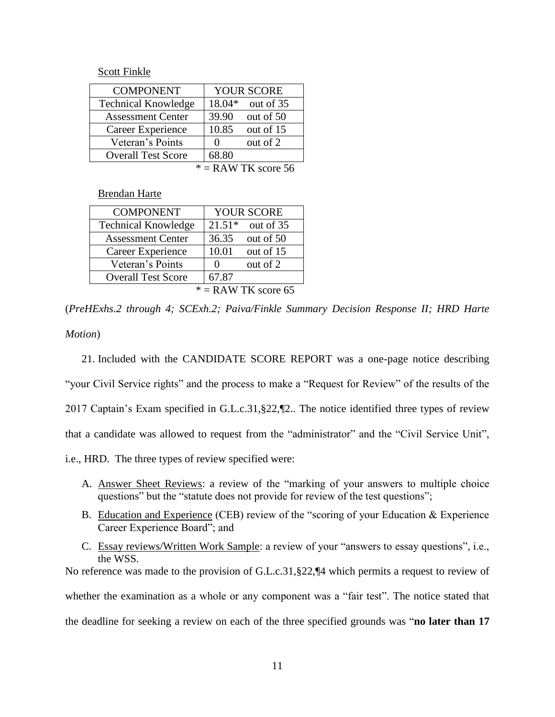Scott Finkle

| <b>COMPONENT</b>           |                   | <b>YOUR SCORE</b> |
|----------------------------|-------------------|-------------------|
| <b>Technical Knowledge</b> | 18.04*            | out of 35         |
| <b>Assessment Center</b>   | 39.90             | out of 50         |
| Career Experience          | 10.85             | out of 15         |
| Veteran's Points           | $\mathbf{\Omega}$ | out of 2          |
| <b>Overall Test Score</b>  | 68.80             |                   |
| $\cdot$ $\cdot$            |                   | - -               |

 $* =$ RAW TK score 56

Brendan Harte

| <b>COMPONENT</b>                | YOUR SCORE            |  |
|---------------------------------|-----------------------|--|
| <b>Technical Knowledge</b>      | $21.51*$<br>out of 35 |  |
| <b>Assessment Center</b>        | 36.35<br>out of 50    |  |
| Career Experience               | 10.01<br>out of 15    |  |
| Veteran's Points                | out of 2<br>$\theta$  |  |
| <b>Overall Test Score</b>       | 67.87                 |  |
| $\Lambda$ W TV coors $\epsilon$ |                       |  |

 $* =$  RAW TK score 65

(*PreHExhs.2 through 4; SCExh.2; Paiva/Finkle Summary Decision Response II; HRD Harte* 

*Motion*)

21. Included with the CANDIDATE SCORE REPORT was a one-page notice describing "your Civil Service rights" and the process to make a "Request for Review" of the results of the 2017 Captain's Exam specified in G.L.c.31,§22,¶2.. The notice identified three types of review that a candidate was allowed to request from the "administrator" and the "Civil Service Unit", i.e., HRD. The three types of review specified were:

- A. Answer Sheet Reviews: a review of the "marking of your answers to multiple choice questions" but the "statute does not provide for review of the test questions";
- B. Education and Experience (CEB) review of the "scoring of your Education & Experience Career Experience Board"; and
- C. Essay reviews/Written Work Sample: a review of your "answers to essay questions", i.e., the WSS.

No reference was made to the provision of G.L.c.31,§22,¶4 which permits a request to review of whether the examination as a whole or any component was a "fair test". The notice stated that the deadline for seeking a review on each of the three specified grounds was "**no later than 17**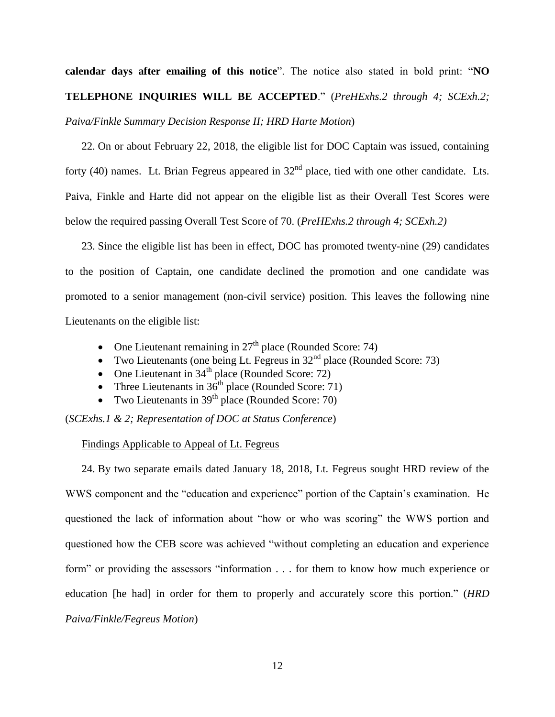**calendar days after emailing of this notice**". The notice also stated in bold print: "**NO TELEPHONE INQUIRIES WILL BE ACCEPTED**." (*PreHExhs.2 through 4; SCExh.2; Paiva/Finkle Summary Decision Response II; HRD Harte Motion*)

22. On or about February 22, 2018, the eligible list for DOC Captain was issued, containing forty (40) names. Lt. Brian Fegreus appeared in  $32<sup>nd</sup>$  place, tied with one other candidate. Lts. Paiva, Finkle and Harte did not appear on the eligible list as their Overall Test Scores were below the required passing Overall Test Score of 70. (*PreHExhs.2 through 4; SCExh.2)*

23. Since the eligible list has been in effect, DOC has promoted twenty-nine (29) candidates to the position of Captain, one candidate declined the promotion and one candidate was promoted to a senior management (non-civil service) position. This leaves the following nine Lieutenants on the eligible list:

- One Lieutenant remaining in  $27<sup>th</sup>$  place (Rounded Score: 74)
- Two Lieutenants (one being Lt. Fegreus in  $32<sup>nd</sup>$  place (Rounded Score: 73)
- One Lieutenant in  $34<sup>th</sup>$  place (Rounded Score: 72)
- Three Lieutenants in  $36<sup>th</sup>$  place (Rounded Score: 71)
- Two Lieutenants in  $39<sup>th</sup>$  place (Rounded Score: 70)

(*SCExhs.1 & 2; Representation of DOC at Status Conference*)

## Findings Applicable to Appeal of Lt. Fegreus

24. By two separate emails dated January 18, 2018, Lt. Fegreus sought HRD review of the WWS component and the "education and experience" portion of the Captain's examination. He questioned the lack of information about "how or who was scoring" the WWS portion and questioned how the CEB score was achieved "without completing an education and experience form" or providing the assessors "information . . . for them to know how much experience or education [he had] in order for them to properly and accurately score this portion." (*HRD Paiva/Finkle/Fegreus Motion*)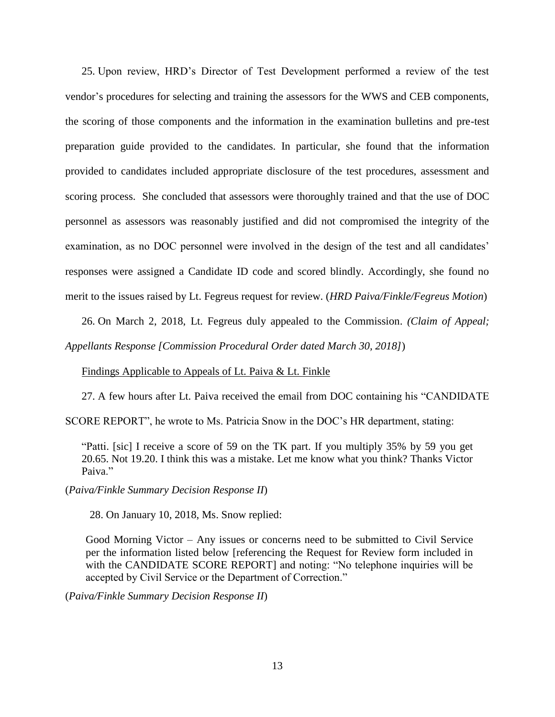25. Upon review, HRD's Director of Test Development performed a review of the test vendor's procedures for selecting and training the assessors for the WWS and CEB components, the scoring of those components and the information in the examination bulletins and pre-test preparation guide provided to the candidates. In particular, she found that the information provided to candidates included appropriate disclosure of the test procedures, assessment and scoring process. She concluded that assessors were thoroughly trained and that the use of DOC personnel as assessors was reasonably justified and did not compromised the integrity of the examination, as no DOC personnel were involved in the design of the test and all candidates' responses were assigned a Candidate ID code and scored blindly. Accordingly, she found no merit to the issues raised by Lt. Fegreus request for review. (*HRD Paiva/Finkle/Fegreus Motion*)

26. On March 2, 2018, Lt. Fegreus duly appealed to the Commission. *(Claim of Appeal; Appellants Response [Commission Procedural Order dated March 30, 2018]*)

Findings Applicable to Appeals of Lt. Paiva & Lt. Finkle

27. A few hours after Lt. Paiva received the email from DOC containing his "CANDIDATE

SCORE REPORT", he wrote to Ms. Patricia Snow in the DOC's HR department, stating:

"Patti. [sic] I receive a score of 59 on the TK part. If you multiply 35% by 59 you get 20.65. Not 19.20. I think this was a mistake. Let me know what you think? Thanks Victor Paiva<sup>"</sup>

(*Paiva/Finkle Summary Decision Response II*)

28. On January 10, 2018, Ms. Snow replied:

Good Morning Victor – Any issues or concerns need to be submitted to Civil Service per the information listed below [referencing the Request for Review form included in with the CANDIDATE SCORE REPORT] and noting: "No telephone inquiries will be accepted by Civil Service or the Department of Correction."

(*Paiva/Finkle Summary Decision Response II*)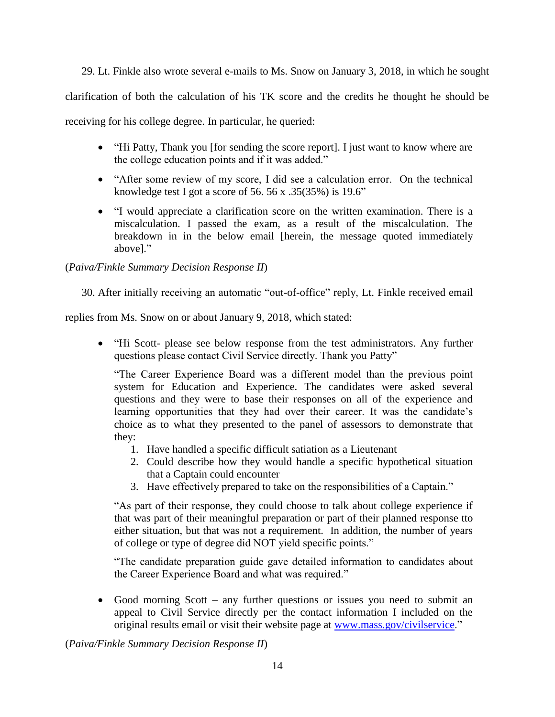29. Lt. Finkle also wrote several e-mails to Ms. Snow on January 3, 2018, in which he sought clarification of both the calculation of his TK score and the credits he thought he should be receiving for his college degree. In particular, he queried:

- "Hi Patty, Thank you [for sending the score report]. I just want to know where are the college education points and if it was added."
- "After some review of my score, I did see a calculation error. On the technical knowledge test I got a score of 56. 56 x .35(35%) is 19.6"
- "I would appreciate a clarification score on the written examination. There is a miscalculation. I passed the exam, as a result of the miscalculation. The breakdown in in the below email [herein, the message quoted immediately above]."

# (*Paiva/Finkle Summary Decision Response II*)

30. After initially receiving an automatic "out-of-office" reply, Lt. Finkle received email

replies from Ms. Snow on or about January 9, 2018, which stated:

 "Hi Scott- please see below response from the test administrators. Any further questions please contact Civil Service directly. Thank you Patty"

"The Career Experience Board was a different model than the previous point system for Education and Experience. The candidates were asked several questions and they were to base their responses on all of the experience and learning opportunities that they had over their career. It was the candidate's choice as to what they presented to the panel of assessors to demonstrate that they:

- 1. Have handled a specific difficult satiation as a Lieutenant
- 2. Could describe how they would handle a specific hypothetical situation that a Captain could encounter
- 3. Have effectively prepared to take on the responsibilities of a Captain."

"As part of their response, they could choose to talk about college experience if that was part of their meaningful preparation or part of their planned response tto either situation, but that was not a requirement. In addition, the number of years of college or type of degree did NOT yield specific points."

"The candidate preparation guide gave detailed information to candidates about the Career Experience Board and what was required."

 Good morning Scott – any further questions or issues you need to submit an appeal to Civil Service directly per the contact information I included on the original results email or visit their website page at [www.mass.gov/civilservice.](http://www.mass.gov/civilservice)"

(*Paiva/Finkle Summary Decision Response II*)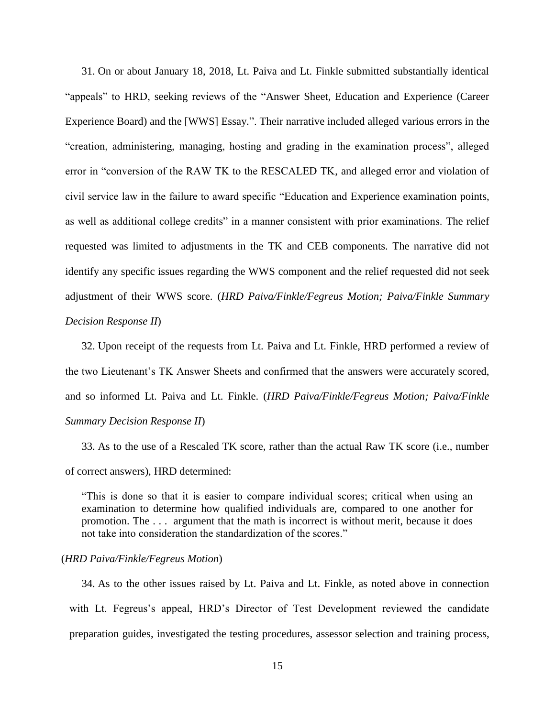31. On or about January 18, 2018, Lt. Paiva and Lt. Finkle submitted substantially identical "appeals" to HRD, seeking reviews of the "Answer Sheet, Education and Experience (Career Experience Board) and the [WWS] Essay.". Their narrative included alleged various errors in the "creation, administering, managing, hosting and grading in the examination process", alleged error in "conversion of the RAW TK to the RESCALED TK, and alleged error and violation of civil service law in the failure to award specific "Education and Experience examination points, as well as additional college credits" in a manner consistent with prior examinations. The relief requested was limited to adjustments in the TK and CEB components. The narrative did not identify any specific issues regarding the WWS component and the relief requested did not seek adjustment of their WWS score. (*HRD Paiva/Finkle/Fegreus Motion; Paiva/Finkle Summary Decision Response II*)

32. Upon receipt of the requests from Lt. Paiva and Lt. Finkle, HRD performed a review of the two Lieutenant's TK Answer Sheets and confirmed that the answers were accurately scored, and so informed Lt. Paiva and Lt. Finkle. (*HRD Paiva/Finkle/Fegreus Motion; Paiva/Finkle Summary Decision Response II*)

33. As to the use of a Rescaled TK score, rather than the actual Raw TK score (i.e., number of correct answers), HRD determined:

"This is done so that it is easier to compare individual scores; critical when using an examination to determine how qualified individuals are, compared to one another for promotion. The . . . argument that the math is incorrect is without merit, because it does not take into consideration the standardization of the scores."

## (*HRD Paiva/Finkle/Fegreus Motion*)

34. As to the other issues raised by Lt. Paiva and Lt. Finkle, as noted above in connection with Lt. Fegreus's appeal, HRD's Director of Test Development reviewed the candidate preparation guides, investigated the testing procedures, assessor selection and training process,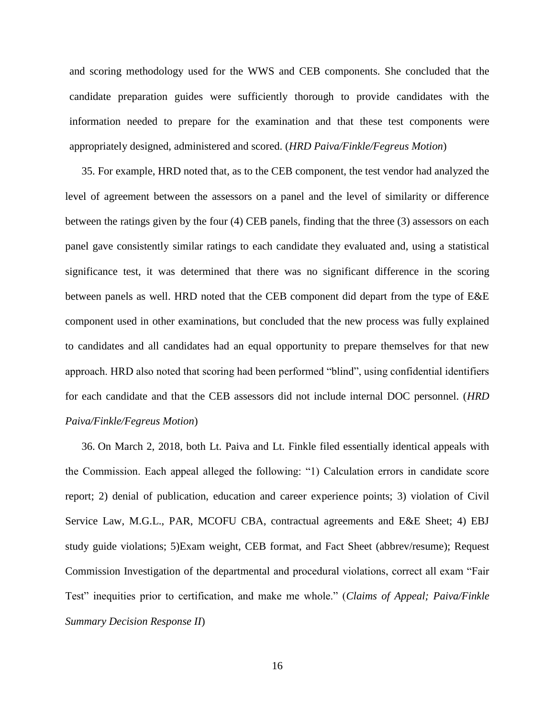and scoring methodology used for the WWS and CEB components. She concluded that the candidate preparation guides were sufficiently thorough to provide candidates with the information needed to prepare for the examination and that these test components were appropriately designed, administered and scored. (*HRD Paiva/Finkle/Fegreus Motion*)

35. For example, HRD noted that, as to the CEB component, the test vendor had analyzed the level of agreement between the assessors on a panel and the level of similarity or difference between the ratings given by the four (4) CEB panels, finding that the three (3) assessors on each panel gave consistently similar ratings to each candidate they evaluated and, using a statistical significance test, it was determined that there was no significant difference in the scoring between panels as well. HRD noted that the CEB component did depart from the type of E&E component used in other examinations, but concluded that the new process was fully explained to candidates and all candidates had an equal opportunity to prepare themselves for that new approach. HRD also noted that scoring had been performed "blind", using confidential identifiers for each candidate and that the CEB assessors did not include internal DOC personnel. (*HRD Paiva/Finkle/Fegreus Motion*)

36. On March 2, 2018, both Lt. Paiva and Lt. Finkle filed essentially identical appeals with the Commission. Each appeal alleged the following: "1) Calculation errors in candidate score report; 2) denial of publication, education and career experience points; 3) violation of Civil Service Law, M.G.L., PAR, MCOFU CBA, contractual agreements and E&E Sheet; 4) EBJ study guide violations; 5)Exam weight, CEB format, and Fact Sheet (abbrev/resume); Request Commission Investigation of the departmental and procedural violations, correct all exam "Fair Test" inequities prior to certification, and make me whole." (*Claims of Appeal; Paiva/Finkle Summary Decision Response II*)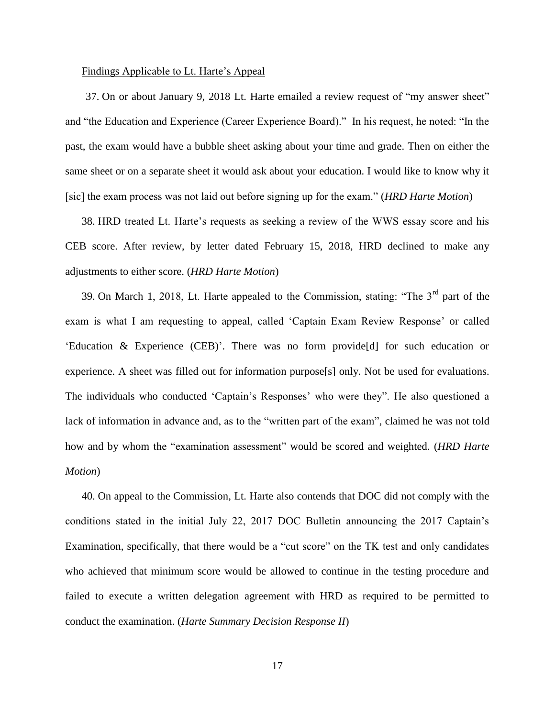#### Findings Applicable to Lt. Harte's Appeal

37. On or about January 9, 2018 Lt. Harte emailed a review request of "my answer sheet" and "the Education and Experience (Career Experience Board)." In his request, he noted: "In the past, the exam would have a bubble sheet asking about your time and grade. Then on either the same sheet or on a separate sheet it would ask about your education. I would like to know why it [sic] the exam process was not laid out before signing up for the exam." (*HRD Harte Motion*)

38. HRD treated Lt. Harte's requests as seeking a review of the WWS essay score and his CEB score. After review, by letter dated February 15, 2018, HRD declined to make any adjustments to either score. (*HRD Harte Motion*)

39. On March 1, 2018, Lt. Harte appealed to the Commission, stating: "The  $3<sup>rd</sup>$  part of the exam is what I am requesting to appeal, called 'Captain Exam Review Response' or called 'Education & Experience (CEB)'. There was no form provide[d] for such education or experience. A sheet was filled out for information purpose[s] only. Not be used for evaluations. The individuals who conducted 'Captain's Responses' who were they". He also questioned a lack of information in advance and, as to the "written part of the exam", claimed he was not told how and by whom the "examination assessment" would be scored and weighted. (*HRD Harte Motion*)

40. On appeal to the Commission, Lt. Harte also contends that DOC did not comply with the conditions stated in the initial July 22, 2017 DOC Bulletin announcing the 2017 Captain's Examination, specifically, that there would be a "cut score" on the TK test and only candidates who achieved that minimum score would be allowed to continue in the testing procedure and failed to execute a written delegation agreement with HRD as required to be permitted to conduct the examination. (*Harte Summary Decision Response II*)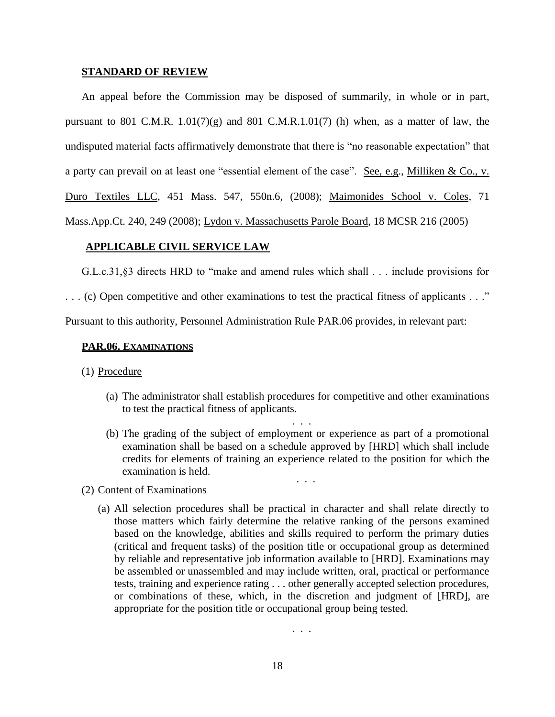#### **STANDARD OF REVIEW**

An appeal before the Commission may be disposed of summarily, in whole or in part, pursuant to 801 C.M.R.  $1.01(7)(g)$  and 801 C.M.R.  $1.01(7)$  (h) when, as a matter of law, the undisputed material facts affirmatively demonstrate that there is "no reasonable expectation" that a party can prevail on at least one "essential element of the case". See, e.g., Milliken & Co., v. Duro Textiles LLC, 451 Mass. 547, 550n.6, (2008); Maimonides School v. Coles, 71 Mass.App.Ct. 240, 249 (2008); Lydon v. Massachusetts Parole Board, 18 MCSR 216 (2005)

# **APPLICABLE CIVIL SERVICE LAW**

G.L.c.31,§3 directs HRD to "make and amend rules which shall . . . include provisions for

. . . (c) Open competitive and other examinations to test the practical fitness of applicants . . ."

Pursuant to this authority, Personnel Administration Rule PAR.06 provides, in relevant part:

#### **PAR.06. EXAMINATIONS**

- (1) Procedure
	- (a) The administrator shall establish procedures for competitive and other examinations to test the practical fitness of applicants.

. . .

(b) The grading of the subject of employment or experience as part of a promotional examination shall be based on a schedule approved by [HRD] which shall include credits for elements of training an experience related to the position for which the examination is held.

. . .

- (2) Content of Examinations
	- (a) All selection procedures shall be practical in character and shall relate directly to those matters which fairly determine the relative ranking of the persons examined based on the knowledge, abilities and skills required to perform the primary duties (critical and frequent tasks) of the position title or occupational group as determined by reliable and representative job information available to [HRD]. Examinations may be assembled or unassembled and may include written, oral, practical or performance tests, training and experience rating . . . other generally accepted selection procedures, or combinations of these, which, in the discretion and judgment of [HRD], are appropriate for the position title or occupational group being tested.

. . .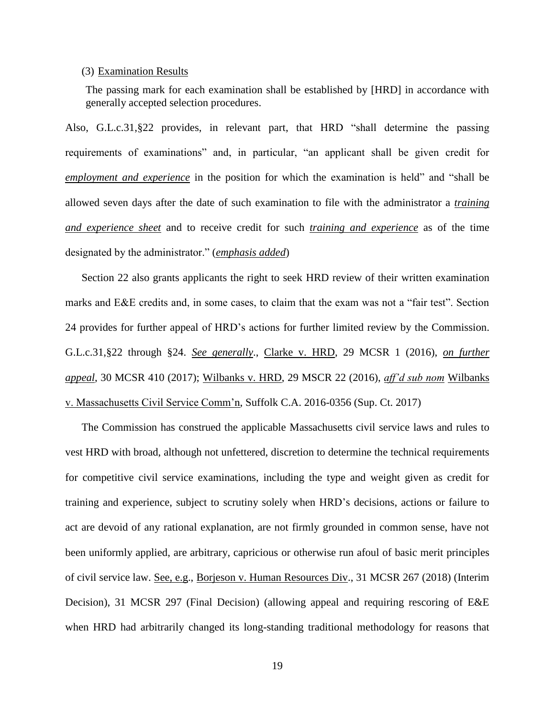#### (3) Examination Results

The passing mark for each examination shall be established by [HRD] in accordance with generally accepted selection procedures.

Also, G.L.c.31,§22 provides, in relevant part, that HRD "shall determine the passing requirements of examinations" and, in particular, "an applicant shall be given credit for *employment and experience* in the position for which the examination is held" and "shall be allowed seven days after the date of such examination to file with the administrator a *training and experience sheet* and to receive credit for such *training and experience* as of the time designated by the administrator." (*emphasis added*)

Section 22 also grants applicants the right to seek HRD review of their written examination marks and E&E credits and, in some cases, to claim that the exam was not a "fair test". Section 24 provides for further appeal of HRD's actions for further limited review by the Commission. G.L.c.31,§22 through §24. *See generally*., Clarke v. HRD, 29 MCSR 1 (2016), *on further appeal*, 30 MCSR 410 (2017); Wilbanks v. HRD, 29 MSCR 22 (2016), *aff'd sub nom* Wilbanks v. Massachusetts Civil Service Comm'n, Suffolk C.A. 2016-0356 (Sup. Ct. 2017)

The Commission has construed the applicable Massachusetts civil service laws and rules to vest HRD with broad, although not unfettered, discretion to determine the technical requirements for competitive civil service examinations, including the type and weight given as credit for training and experience, subject to scrutiny solely when HRD's decisions, actions or failure to act are devoid of any rational explanation, are not firmly grounded in common sense, have not been uniformly applied, are arbitrary, capricious or otherwise run afoul of basic merit principles of civil service law. See, e.g., Borjeson v. Human Resources Div., 31 MCSR 267 (2018) (Interim Decision), 31 MCSR 297 (Final Decision) (allowing appeal and requiring rescoring of E&E when HRD had arbitrarily changed its long-standing traditional methodology for reasons that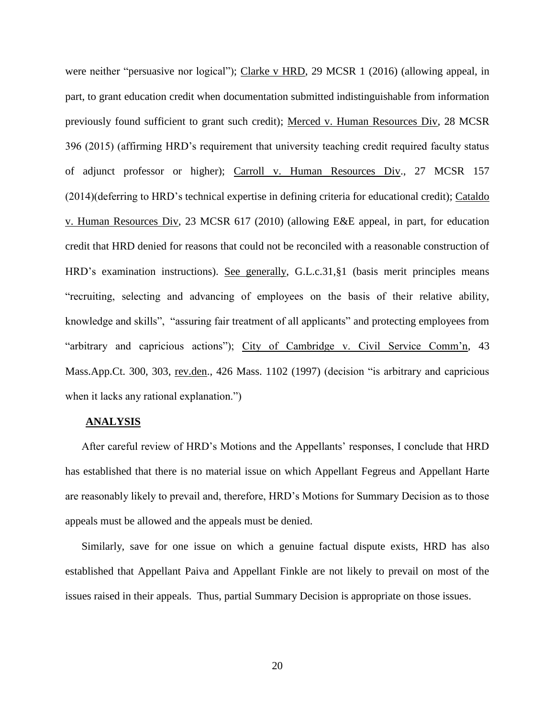were neither "persuasive nor logical"); Clarke v HRD, 29 MCSR 1 (2016) (allowing appeal, in part, to grant education credit when documentation submitted indistinguishable from information previously found sufficient to grant such credit); Merced v. Human Resources Div, 28 MCSR 396 (2015) (affirming HRD's requirement that university teaching credit required faculty status of adjunct professor or higher); Carroll v. Human Resources Div., 27 MCSR 157 (2014)(deferring to HRD's technical expertise in defining criteria for educational credit); Cataldo v. Human Resources Div, 23 MCSR 617 (2010) (allowing E&E appeal, in part, for education credit that HRD denied for reasons that could not be reconciled with a reasonable construction of HRD's examination instructions). See generally, G.L.c.31,§1 (basis merit principles means "recruiting, selecting and advancing of employees on the basis of their relative ability, knowledge and skills", "assuring fair treatment of all applicants" and protecting employees from "arbitrary and capricious actions"); City of Cambridge v. Civil Service Comm'n, 43 Mass.App.Ct. 300, 303, rev.den., 426 Mass. 1102 (1997) (decision "is arbitrary and capricious when it lacks any rational explanation."

## **ANALYSIS**

After careful review of HRD's Motions and the Appellants' responses, I conclude that HRD has established that there is no material issue on which Appellant Fegreus and Appellant Harte are reasonably likely to prevail and, therefore, HRD's Motions for Summary Decision as to those appeals must be allowed and the appeals must be denied.

Similarly, save for one issue on which a genuine factual dispute exists, HRD has also established that Appellant Paiva and Appellant Finkle are not likely to prevail on most of the issues raised in their appeals. Thus, partial Summary Decision is appropriate on those issues.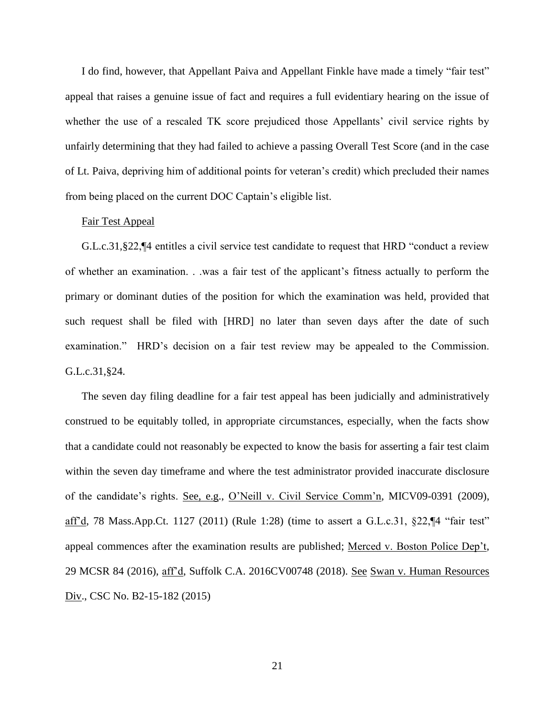I do find, however, that Appellant Paiva and Appellant Finkle have made a timely "fair test" appeal that raises a genuine issue of fact and requires a full evidentiary hearing on the issue of whether the use of a rescaled TK score prejudiced those Appellants' civil service rights by unfairly determining that they had failed to achieve a passing Overall Test Score (and in the case of Lt. Paiva, depriving him of additional points for veteran's credit) which precluded their names from being placed on the current DOC Captain's eligible list.

## Fair Test Appeal

G.L.c.31,§22,¶4 entitles a civil service test candidate to request that HRD "conduct a review of whether an examination. . .was a fair test of the applicant's fitness actually to perform the primary or dominant duties of the position for which the examination was held, provided that such request shall be filed with [HRD] no later than seven days after the date of such examination." HRD's decision on a fair test review may be appealed to the Commission. G.L.c.31,§24.

The seven day filing deadline for a fair test appeal has been judicially and administratively construed to be equitably tolled, in appropriate circumstances, especially, when the facts show that a candidate could not reasonably be expected to know the basis for asserting a fair test claim within the seven day timeframe and where the test administrator provided inaccurate disclosure of the candidate's rights. See, e.g., O'Neill v. Civil Service Comm'n, MICV09-0391 (2009), aff'd, 78 Mass.App.Ct. 1127 (2011) (Rule 1:28) (time to assert a G.L.c.31, §22,¶4 "fair test" appeal commences after the examination results are published; Merced v. Boston Police Dep't, 29 MCSR 84 (2016), aff'd, Suffolk C.A. 2016CV00748 (2018). See Swan v. Human Resources Div., CSC No. B2-15-182 (2015)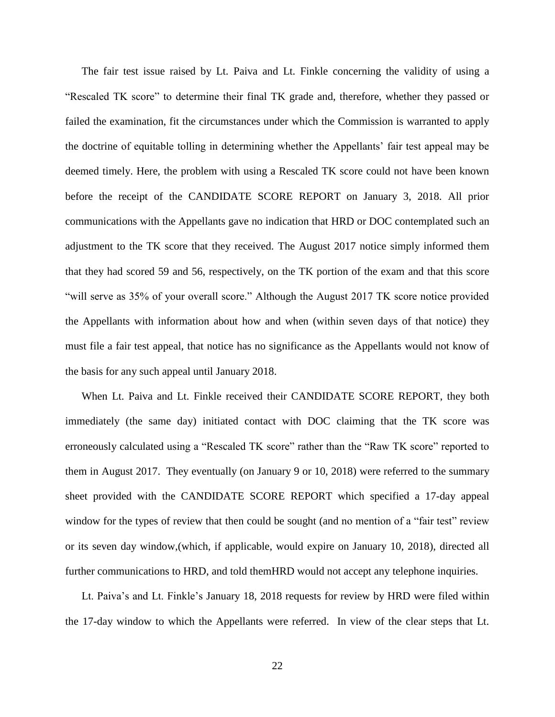The fair test issue raised by Lt. Paiva and Lt. Finkle concerning the validity of using a "Rescaled TK score" to determine their final TK grade and, therefore, whether they passed or failed the examination, fit the circumstances under which the Commission is warranted to apply the doctrine of equitable tolling in determining whether the Appellants' fair test appeal may be deemed timely. Here, the problem with using a Rescaled TK score could not have been known before the receipt of the CANDIDATE SCORE REPORT on January 3, 2018. All prior communications with the Appellants gave no indication that HRD or DOC contemplated such an adjustment to the TK score that they received. The August 2017 notice simply informed them that they had scored 59 and 56, respectively, on the TK portion of the exam and that this score "will serve as 35% of your overall score." Although the August 2017 TK score notice provided the Appellants with information about how and when (within seven days of that notice) they must file a fair test appeal, that notice has no significance as the Appellants would not know of the basis for any such appeal until January 2018.

When Lt. Paiva and Lt. Finkle received their CANDIDATE SCORE REPORT, they both immediately (the same day) initiated contact with DOC claiming that the TK score was erroneously calculated using a "Rescaled TK score" rather than the "Raw TK score" reported to them in August 2017. They eventually (on January 9 or 10, 2018) were referred to the summary sheet provided with the CANDIDATE SCORE REPORT which specified a 17-day appeal window for the types of review that then could be sought (and no mention of a "fair test" review or its seven day window,(which, if applicable, would expire on January 10, 2018), directed all further communications to HRD, and told themHRD would not accept any telephone inquiries.

Lt. Paiva's and Lt. Finkle's January 18, 2018 requests for review by HRD were filed within the 17-day window to which the Appellants were referred. In view of the clear steps that Lt.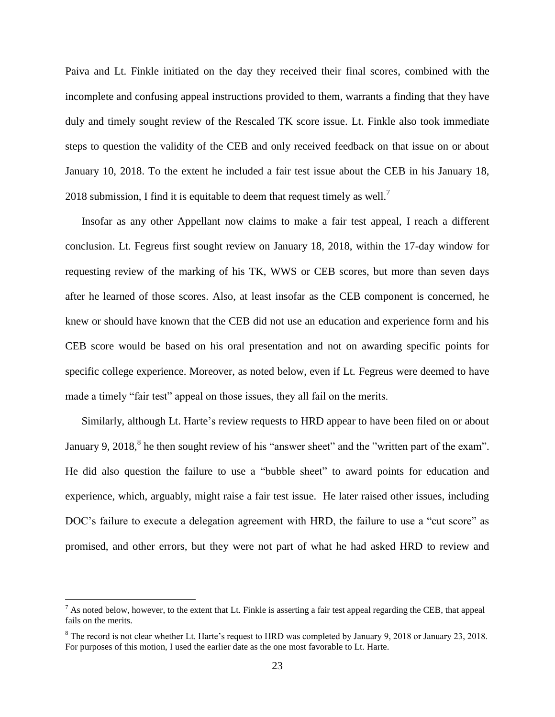Paiva and Lt. Finkle initiated on the day they received their final scores, combined with the incomplete and confusing appeal instructions provided to them, warrants a finding that they have duly and timely sought review of the Rescaled TK score issue. Lt. Finkle also took immediate steps to question the validity of the CEB and only received feedback on that issue on or about January 10, 2018. To the extent he included a fair test issue about the CEB in his January 18, 2018 submission, I find it is equitable to deem that request timely as well.<sup>7</sup>

Insofar as any other Appellant now claims to make a fair test appeal, I reach a different conclusion. Lt. Fegreus first sought review on January 18, 2018, within the 17-day window for requesting review of the marking of his TK, WWS or CEB scores, but more than seven days after he learned of those scores. Also, at least insofar as the CEB component is concerned, he knew or should have known that the CEB did not use an education and experience form and his CEB score would be based on his oral presentation and not on awarding specific points for specific college experience. Moreover, as noted below, even if Lt. Fegreus were deemed to have made a timely "fair test" appeal on those issues, they all fail on the merits.

Similarly, although Lt. Harte's review requests to HRD appear to have been filed on or about January 9, 2018, ${}^{8}$  he then sought review of his "answer sheet" and the "written part of the exam". He did also question the failure to use a "bubble sheet" to award points for education and experience, which, arguably, might raise a fair test issue. He later raised other issues, including DOC's failure to execute a delegation agreement with HRD, the failure to use a "cut score" as promised, and other errors, but they were not part of what he had asked HRD to review and

 $\overline{a}$ 

<sup>&</sup>lt;sup>7</sup> As noted below, however, to the extent that Lt. Finkle is asserting a fair test appeal regarding the CEB, that appeal fails on the merits.

<sup>8</sup> The record is not clear whether Lt. Harte's request to HRD was completed by January 9, 2018 or January 23, 2018. For purposes of this motion, I used the earlier date as the one most favorable to Lt. Harte.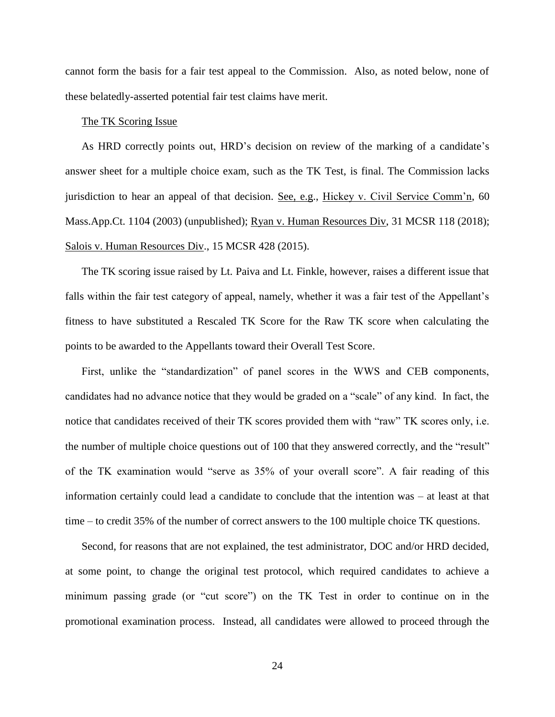cannot form the basis for a fair test appeal to the Commission. Also, as noted below, none of these belatedly-asserted potential fair test claims have merit.

## The TK Scoring Issue

As HRD correctly points out, HRD's decision on review of the marking of a candidate's answer sheet for a multiple choice exam, such as the TK Test, is final. The Commission lacks jurisdiction to hear an appeal of that decision. See, e.g., Hickey v. Civil Service Comm'n, 60 Mass.App.Ct. 1104 (2003) (unpublished); Ryan v. Human Resources Div, 31 MCSR 118 (2018); Salois v. Human Resources Div., 15 MCSR 428 (2015).

The TK scoring issue raised by Lt. Paiva and Lt. Finkle, however, raises a different issue that falls within the fair test category of appeal, namely, whether it was a fair test of the Appellant's fitness to have substituted a Rescaled TK Score for the Raw TK score when calculating the points to be awarded to the Appellants toward their Overall Test Score.

First, unlike the "standardization" of panel scores in the WWS and CEB components, candidates had no advance notice that they would be graded on a "scale" of any kind. In fact, the notice that candidates received of their TK scores provided them with "raw" TK scores only, i.e. the number of multiple choice questions out of 100 that they answered correctly, and the "result" of the TK examination would "serve as 35% of your overall score". A fair reading of this information certainly could lead a candidate to conclude that the intention was – at least at that time – to credit 35% of the number of correct answers to the 100 multiple choice TK questions.

Second, for reasons that are not explained, the test administrator, DOC and/or HRD decided, at some point, to change the original test protocol, which required candidates to achieve a minimum passing grade (or "cut score") on the TK Test in order to continue on in the promotional examination process. Instead, all candidates were allowed to proceed through the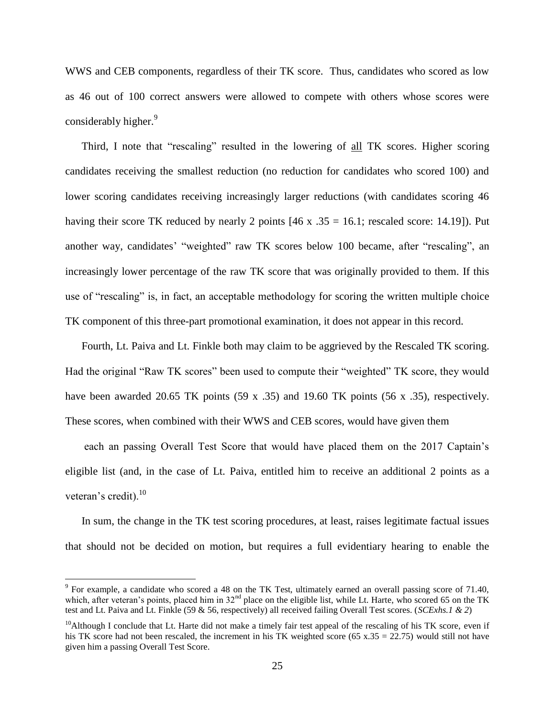WWS and CEB components, regardless of their TK score. Thus, candidates who scored as low as 46 out of 100 correct answers were allowed to compete with others whose scores were considerably higher.<sup>9</sup>

Third, I note that "rescaling" resulted in the lowering of all TK scores. Higher scoring candidates receiving the smallest reduction (no reduction for candidates who scored 100) and lower scoring candidates receiving increasingly larger reductions (with candidates scoring 46 having their score TK reduced by nearly 2 points  $[46 \times .35 = 16.1$ ; rescaled score: 14.19]). Put another way, candidates' "weighted" raw TK scores below 100 became, after "rescaling", an increasingly lower percentage of the raw TK score that was originally provided to them. If this use of "rescaling" is, in fact, an acceptable methodology for scoring the written multiple choice TK component of this three-part promotional examination, it does not appear in this record.

Fourth, Lt. Paiva and Lt. Finkle both may claim to be aggrieved by the Rescaled TK scoring. Had the original "Raw TK scores" been used to compute their "weighted" TK score, they would have been awarded 20.65 TK points (59 x .35) and 19.60 TK points (56 x .35), respectively. These scores, when combined with their WWS and CEB scores, would have given them

each an passing Overall Test Score that would have placed them on the 2017 Captain's eligible list (and, in the case of Lt. Paiva, entitled him to receive an additional 2 points as a veteran's credit). $^{10}$ 

In sum, the change in the TK test scoring procedures, at least, raises legitimate factual issues that should not be decided on motion, but requires a full evidentiary hearing to enable the

 $\overline{a}$ 

 $9$  For example, a candidate who scored a 48 on the TK Test, ultimately earned an overall passing score of 71.40, which, after veteran's points, placed him in 32<sup>nd</sup> place on the eligible list, while Lt. Harte, who scored 65 on the TK test and Lt. Paiva and Lt. Finkle (59 & 56, respectively) all received failing Overall Test scores. (*SCExhs.1 & 2*)

 $10$ Although I conclude that Lt. Harte did not make a timely fair test appeal of the rescaling of his TK score, even if his TK score had not been rescaled, the increment in his TK weighted score (65 x.35 = 22.75) would still not have given him a passing Overall Test Score.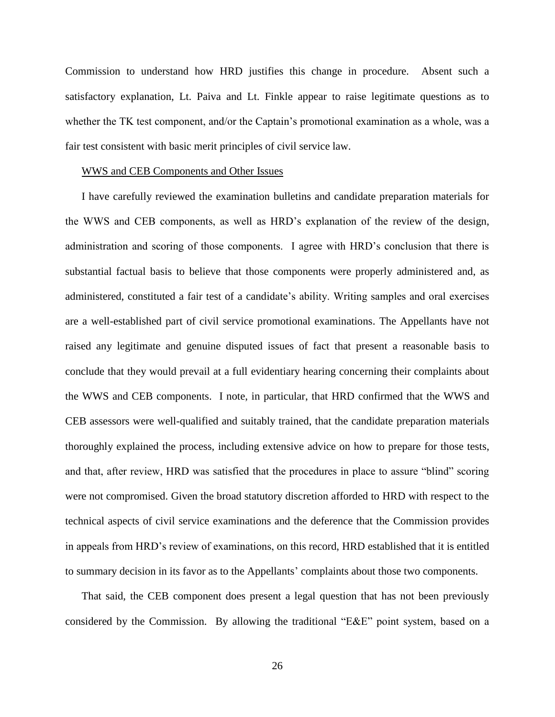Commission to understand how HRD justifies this change in procedure. Absent such a satisfactory explanation, Lt. Paiva and Lt. Finkle appear to raise legitimate questions as to whether the TK test component, and/or the Captain's promotional examination as a whole, was a fair test consistent with basic merit principles of civil service law.

#### WWS and CEB Components and Other Issues

I have carefully reviewed the examination bulletins and candidate preparation materials for the WWS and CEB components, as well as HRD's explanation of the review of the design, administration and scoring of those components. I agree with HRD's conclusion that there is substantial factual basis to believe that those components were properly administered and, as administered, constituted a fair test of a candidate's ability. Writing samples and oral exercises are a well-established part of civil service promotional examinations. The Appellants have not raised any legitimate and genuine disputed issues of fact that present a reasonable basis to conclude that they would prevail at a full evidentiary hearing concerning their complaints about the WWS and CEB components. I note, in particular, that HRD confirmed that the WWS and CEB assessors were well-qualified and suitably trained, that the candidate preparation materials thoroughly explained the process, including extensive advice on how to prepare for those tests, and that, after review, HRD was satisfied that the procedures in place to assure "blind" scoring were not compromised. Given the broad statutory discretion afforded to HRD with respect to the technical aspects of civil service examinations and the deference that the Commission provides in appeals from HRD's review of examinations, on this record, HRD established that it is entitled to summary decision in its favor as to the Appellants' complaints about those two components.

That said, the CEB component does present a legal question that has not been previously considered by the Commission. By allowing the traditional "E&E" point system, based on a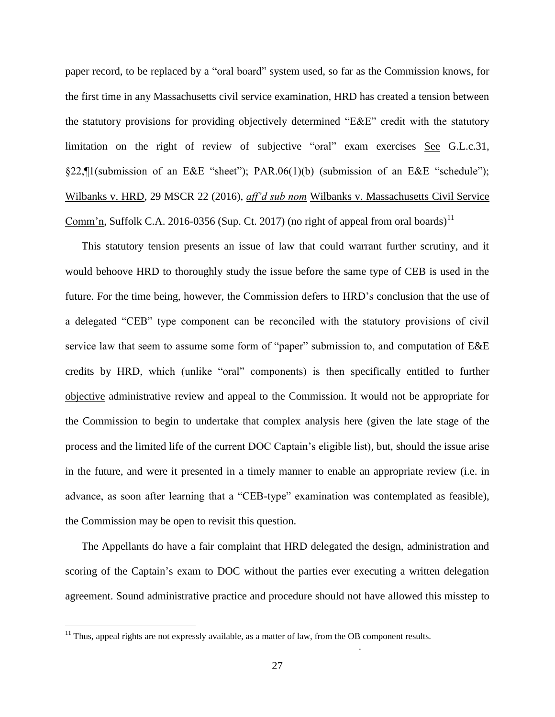paper record, to be replaced by a "oral board" system used, so far as the Commission knows, for the first time in any Massachusetts civil service examination, HRD has created a tension between the statutory provisions for providing objectively determined "E&E" credit with the statutory limitation on the right of review of subjective "oral" exam exercises See G.L.c.31, §22,¶1(submission of an E&E "sheet"); PAR.06(1)(b) (submission of an E&E "schedule"); Wilbanks v. HRD, 29 MSCR 22 (2016), *aff'd sub nom* Wilbanks v. Massachusetts Civil Service Comm'n, Suffolk C.A. 2016-0356 (Sup. Ct. 2017) (no right of appeal from oral boards)<sup>11</sup>

This statutory tension presents an issue of law that could warrant further scrutiny, and it would behoove HRD to thoroughly study the issue before the same type of CEB is used in the future. For the time being, however, the Commission defers to HRD's conclusion that the use of a delegated "CEB" type component can be reconciled with the statutory provisions of civil service law that seem to assume some form of "paper" submission to, and computation of E&E credits by HRD, which (unlike "oral" components) is then specifically entitled to further objective administrative review and appeal to the Commission. It would not be appropriate for the Commission to begin to undertake that complex analysis here (given the late stage of the process and the limited life of the current DOC Captain's eligible list), but, should the issue arise in the future, and were it presented in a timely manner to enable an appropriate review (i.e. in advance, as soon after learning that a "CEB-type" examination was contemplated as feasible), the Commission may be open to revisit this question.

The Appellants do have a fair complaint that HRD delegated the design, administration and scoring of the Captain's exam to DOC without the parties ever executing a written delegation agreement. Sound administrative practice and procedure should not have allowed this misstep to

 $\overline{a}$ 

.

 $11$  Thus, appeal rights are not expressly available, as a matter of law, from the OB component results.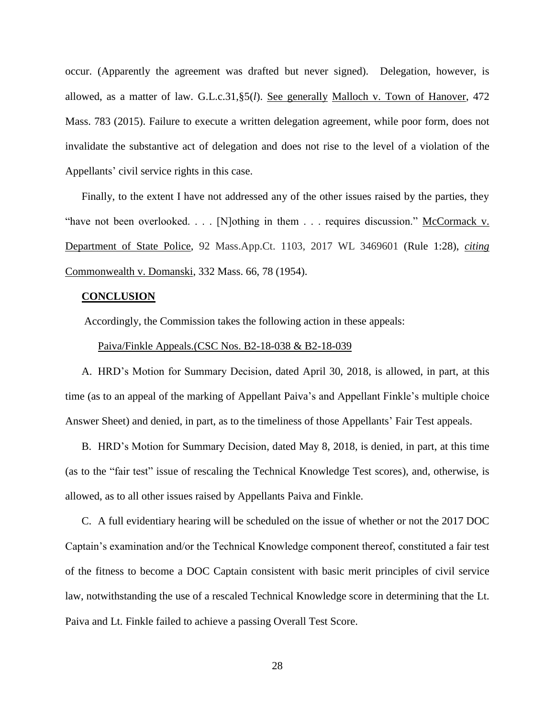occur. (Apparently the agreement was drafted but never signed). Delegation, however, is allowed, as a matter of law. G.L.c.31,§5(*l*). See generally [Malloch v. Town of Hanover,](https://1.next.westlaw.com/Link/Document/FullText?findType=Y&serNum=2037236286&pubNum=0007902&originatingDoc=NAB4102D0173D11DB9292C066B0348FB7&refType=RP&originationContext=notesOfDecisions&contextData=%28sc.Category%29&transitionType=NotesOfDecisionItem) 472 [Mass. 783](https://1.next.westlaw.com/Link/Document/FullText?findType=Y&serNum=2037236286&pubNum=0007902&originatingDoc=NAB4102D0173D11DB9292C066B0348FB7&refType=RP&originationContext=notesOfDecisions&contextData=%28sc.Category%29&transitionType=NotesOfDecisionItem) (2015). Failure to execute a written delegation agreement, while poor form, does not invalidate the substantive act of delegation and does not rise to the level of a violation of the Appellants' civil service rights in this case.

Finally, to the extent I have not addressed any of the other issues raised by the parties, they "have not been overlooked. . . . [N]othing in them . . . requires discussion." McCormack v. Department of State Police, 92 Mass.App.Ct. 1103, 2017 WL 3469601 (Rule 1:28), *citing* Commonwealth v. Domanski, 332 Mass. 66, 78 (1954).

#### **CONCLUSION**

Accordingly, the Commission takes the following action in these appeals:

#### Paiva/Finkle Appeals.(CSC Nos. B2-18-038 & B2-18-039

A. HRD's Motion for Summary Decision, dated April 30, 2018, is allowed, in part, at this time (as to an appeal of the marking of Appellant Paiva's and Appellant Finkle's multiple choice Answer Sheet) and denied, in part, as to the timeliness of those Appellants' Fair Test appeals.

B. HRD's Motion for Summary Decision, dated May 8, 2018, is denied, in part, at this time (as to the "fair test" issue of rescaling the Technical Knowledge Test scores), and, otherwise, is allowed, as to all other issues raised by Appellants Paiva and Finkle.

C. A full evidentiary hearing will be scheduled on the issue of whether or not the 2017 DOC Captain's examination and/or the Technical Knowledge component thereof, constituted a fair test of the fitness to become a DOC Captain consistent with basic merit principles of civil service law, notwithstanding the use of a rescaled Technical Knowledge score in determining that the Lt. Paiva and Lt. Finkle failed to achieve a passing Overall Test Score.